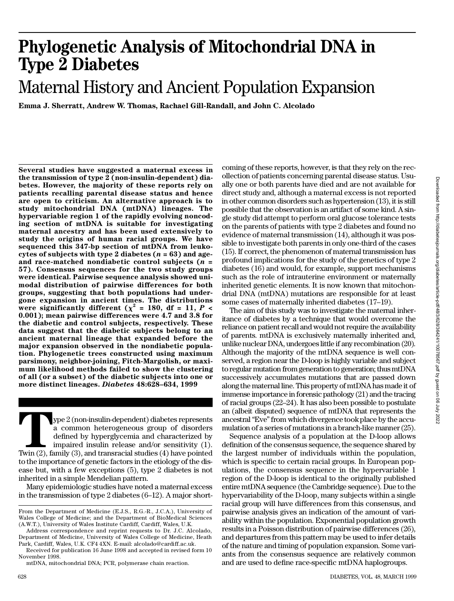# **Phylogenetic Analysis of Mitochondrial DNA in Type 2 Diabetes**

Maternal History and Ancient Population Expansion

**Emma J. Sherratt, Andrew W. Thomas, Rachael Gill-Randall, and John C. Alcolado**

**Several studies have suggested a maternal excess in the transmission of type 2 (non-insulin-dependent) diabetes. However, the majority of these reports rely on patients recalling parental disease status and hence are open to criticism. An alternative approach is to study mitochondrial DNA (mtDNA) lineages. The hypervariable region 1 of the rapidly evolving noncoding section of mtDNA is suitable for investigating maternal ancestry and has been used extensively to study the origins of human racial groups. We have sequenced this 347-bp section of mtDNA from leukocytes of subjects with type 2 diabetes (***n* **= 63) and ageand race-matched nondiabetic control subjects (***n* **= 57). Consensus sequences for the two study groups were identical. Pairwise sequence analysis showed unimodal distribution of pairwise differences for both groups, suggesting that both populations had undergone expansion in ancient times. The distributions** were significantly different ( $\chi^2$  = 180, df = 11, *P* < **0.001); mean pairwise differences were 4.7 and 3.8 for the diabetic and control subjects, respectively. These data suggest that the diabetic subjects belong to an ancient maternal lineage that expanded before the major expansion observed in the nondiabetic population. Phylogenetic trees constructed using maximum** parsimony, neighbor-joining, Fitch-Margolish, or maxi**mum likelihood methods failed to show the clustering of all (or a subset) of the diabetic subjects into one or more distinct lineages.** *D i a b e t e s* **48:628–634, 1999**

Twin (2), the 2 (non-insulin-dependent) diabetes represents<br>
a common heterogeneous group of disorders<br>
defined by hyperglycemia and characterized by<br>
impaired insulin release and/or sensitivity (1).<br>
Twin (2), family (3), ype 2 (non-insulin-dependent) diabetes represents a common heterogeneous group of disorders defined by hyperglycemia and characterized by impaired insulin release and/or sensitivity (1). to the importance of genetic factors in the etiology of the disease but, with a few exceptions (5), type 2 diabetes is not inherited in a simple Mendelian pattern.

Many epidemiologic studies have noted a maternal excess in the transmission of type 2 diabetes (6–12). A major short-

Received for publication 16 June 1998 and accepted in revised form 10 November 1998.

mtDNA, mitochondrial DNA; PCR, polymerase chain reaction.

coming of these reports, however, is that they rely on the recollection of patients concerning parental disease status. Usually one or both parents have died and are not available for direct study and, although a maternal excess is not reported in other common disorders such as hypertension (13), it is still possible that the observation is an artifact of some kind. A single study did attempt to perform oral glucose tolerance tests on the parents of patients with type 2 diabetes and found no evidence of maternal transmission (14), although it was possible to investigate both parents in only one-third of the cases (15). If correct, the phenomenon of maternal transmission has profound implications for the study of the genetics of type 2 diabetes (16) and would, for example, support mechanisms such as the role of intrauterine environment or maternally inherited genetic elements. It is now known that mitochondrial DNA (mtDNA) mutations are responsible for at least some cases of maternally inherited diabetes (17–19).

The aim of this study was to investigate the maternal inheritance of diabetes by a technique that would overcome the reliance on patient recall and would not require the availability of parents. mtDNA is exclusively maternally inherited and, unlike nuclear DNA, undergoes little if any recombination (20). Although the majority of the mtDNA sequence is well conserved, a region near the D-loop is highly variable and subject to regular mutation from generation to generation; thus mtDNA successively accumulates mutations that are passed down along the maternal line. This property of mtDNA has made it of immense importance in forensic pathology (21) and the tracing of racial groups (22–24). It has also been possible to postulate an (albeit disputed) sequence of mtDNA that represents the ancestral "Eve" from which divergence took place by the accumulation of a series of mutations in a branch-like manner (25).

Sequence analysis of a population at the D-loop allows definition of the consensus sequence, the sequence shared by the largest number of individuals within the population, which is specific to certain racial groups. In European populations, the consensus sequence in the hypervariable 1 region of the D-loop is identical to the originally published entire mtDNA sequence (the Cambridge sequence). Due to the hypervariability of the D-loop, many subjects within a single racial group will have differences from this consensus, and pairwise analysis gives an indication of the amount of variability within the population. Exponential population growth results in a Poisson distribution of pairwise differences (26), and departures from this pattern may be used to infer details of the nature and timing of population expansion. Some variants from the consensus sequence are relatively common and are used to define race-specific mtDNA haplogroups.

From the Department of Medicine (E.J.S., R.G.-R., J.C.A.), University of Wales College of Medicine; and the Department of BioMedical Sciences (A.W.T.), University of Wales Institute Cardiff, Cardiff, Wales, U.K.

Address correspondence and reprint requests to Dr. J.C. Alcolado, Department of Medicine, University of Wales College of Medicine, Heath Park, Cardiff, Wales, U.K. CF4 4XN. E-mail: alcolado@cardiff.ac.uk.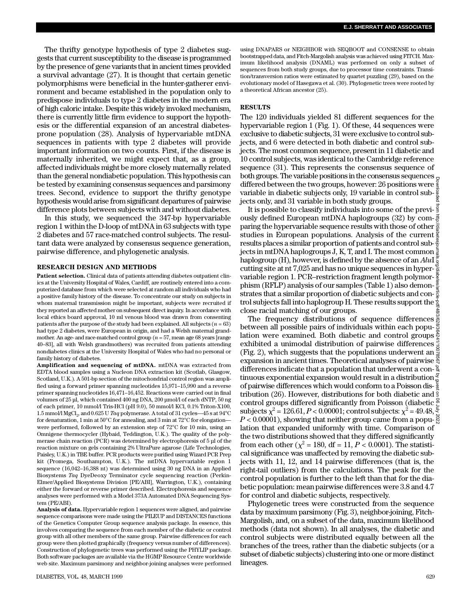The thrifty genotype hypothesis of type 2 diabetes suggests that current susceptibility to the disease is programmed by the presence of gene variants that in ancient times provided a survival advantage (27). It is thought that certain genetic polymorphisms were beneficial in the hunter-gatherer environment and became established in the population only to predispose individuals to type 2 diabetes in the modern era of high caloric intake. Despite this widely invoked mechanism, there is currently little firm evidence to support the hypothesis or the differential expansion of an ancestral diabetesprone population (28). Analysis of hypervariable mtDNA sequences in patients with type 2 diabetes will provide important information on two counts. First, if the disease is maternally inherited, we might expect that, as a group, affected individuals might be more closely maternally related than the general nondiabetic population. This hypothesis can be tested by examining consensus sequences and parsimony trees. Second, evidence to support the thrifty genotype hypothesis would arise from significant departures of pairwise difference plots between subjects with and without diabetes.

In this study, we sequenced the 347-bp hypervariable region 1 within the D-loop of mtDNA in 63 subjects with type 2 diabetes and 57 race-matched control subjects. The resultant data were analyzed by consensus sequence generation, pairwise difference, and phylogenetic analysis.

#### **RESEARCH DESIGN AND METHODS**

Patient selection. Clinical data of patients attending diabetes outpatient clinics at the University Hospital of Wales, Cardiff, are routinely entered into a computerized database from which were selected at random all individuals who had a positive family history of the disease. To concentrate our study on subjects in whom maternal transmission might be important, subjects were recruited if they reported an affected mother on subsequent direct inquiry. In accordance with local ethics board approval, 10 ml venous blood was drawn from consenting patients after the purpose of the study had been explained. All subjects  $(n = 63)$ had type 2 diabetes, were European in origin, and had a Welsh maternal grandmother. An age- and race-matched control group ( $n = 57$ , mean age 68 years [range 40–83], all with Welsh grandmothers) was recruited from patients attending nondiabetes clinics at the University Hospital of Wales who had no personal or family history of diabetes.

**Amplification and sequencing of mtDNA.** mtDNA was extracted from EDTA blood samples using a Nucleon DNA extraction kit (Scotlab, Glasgow, Scotland, U.K.). A 501-bp section of the mitochondrial control region was amplified using a forward primer spanning nucleotides 15,971–15,990 and a reverse primer spanning nucleotides  $16,471-16,452$ . Reactions were carried out in final volumes of 25 µl, which contained 400 ng DNA, 200 µmol/l of each dNTP, 50 ng of each primer, 10 mmol/l Tris-HCl (pH 9.0), 50 mmol/l KCl, 0.1% Triton-X100, 1.5 mmol/l MgCl<sub>2</sub>, and 0.625 U *Taq* polymerase. A total of 31 cycles—45 s at  $94^{\circ}$ C for denaturation, 1 min at 50°C for annealing, and 3 min at 72°C for elongation were performed, followed by an extension step of 72°C for 10 min, using an Omnigene thermocycler (Hybaid, Teddington, U.K.). The quality of the polymerase chain reaction (PCR) was determined by electrophoresis of 5 µl of the reaction mixture on gels containing 2% UltraPure agarose (Life Technologies, Paisley, U.K.) in TBE buffer. PCR products were purified using Wizard PCR Prep kit (Promega, Southampton, U.K.). The mtDNA hypervariable region 1 sequence (16,042–16,388 nt) was determined using 30 ng DNA in an Applied Biosystems *Taq* DyeDeoxy Terminator cycle sequencing reaction (Perkin-Elmer/Applied Biosystems Division [PE/ABI], Warrington, U.K.), containing either the forward or reverse primer described. Electrophoresis and sequence analyses were performed with a Model 373A Automated DNA Sequencing System (PE/ABI).

**Analysis of data.** Hypervariable region 1 sequences were aligned, and pairwise sequence comparisons were made using the PILEUP and DISTANCES functions of the Genetics Computer Group sequence analysis package. In essence, this involves comparing the sequence from each member of the diabetic or control group with all other members of the same group. Pairwise differences for each group were then plotted graphically (frequency versus number of differences). Construction of phylogenetic trees was performed using the PHYLIP package. Both software packages are available via the HGMP Resource Centre worldwide web site. Maximum parsimony and neighbor-joining analyses were performed

using DNAPARS or NEIGHBOR with SEQBOOT and CONSENSE to obtain bootstrapped data, and Fitch-Margolish analysis was achieved using FITCH. Maximum likelihood analysis (DNAML) was performed on only a subset of sequences from both study groups, due to processor time constraints. Transition/transversion ratios were estimated by quartet puzzling (29), based on the evolutionary model of Hasegawa et al. (30). Phylogenetic trees were rooted by a theoretical African ancestor (25).

### **RESULTS**

The 120 individuals yielded 81 different sequences for the hypervariable region 1 (Fig. 1). Of these, 44 sequences were exclusive to diabetic subjects, 31 were exclusive to control subjects, and 6 were detected in both diabetic and control subjects. The most common sequence, present in 11 diabetic and 10 control subjects, was identical to the Cambridge reference sequence (31). This represents the consensus sequence of both groups. The variable positions in the consensus sequences  $\mathcal{L}$ differed between the two groups, however: 26 positions were  $\frac{3}{2}$ variable in diabetic subjects only, 19 variable in control sub- $\frac{5}{8}$ jects only, and 31 variable in both study groups.

It is possible to classify individuals into some of the previ- $\frac{3}{9}$ ously defined European mtDNA haplogroups (32) by comparing the hypervariable sequence results with those of other  $\geq$ studies in European populations. Analysis of the current  $\frac{3}{2}$ results places a similar proportion of patients and control subjects in mtDNA haplogroups J, K, T, and I. The most common haplogroup (H), however, is defined by the absence of an *AluI* cutting site at nt 7,025 and has no unique sequences in hypervariable region 1. PCR–restriction fragment length polymorphism (RFLP) analysis of our samples (Table 1) also demonstrates that a similar proportion of diabetic subjects and control subjects fall into haplogroup H. These results support the close racial matching of our groups.

The frequency distributions of sequence differences between all possible pairs of individuals within each population were examined. Both diabetic and control groups exhibited a unimodal distribution of pairwise differences  $\frac{1}{8}$ (Fig. 2), which suggests that the populations underwent an  $\frac{5}{8}$ expansion in ancient times. Theoretical analyses of pairwise differences indicate that a population that underwent a con- $\frac{a}{4}$ tinuous exponential expansion would result in a distribution  $\frac{8}{9}$ of pairwise differences which would conform to a Poisson distribution (26). However, distributions for both diabetic and control groups differed significantly from Poisson (diabetic  $\frac{8}{3}$ subjects  $\chi^2$  = 126.61, *P* < 0.00001; control subjects:  $\chi^2$  = 49.48,  $P < 0.00001$ ), showing that neither group came from a population that expanded uniformly with time. Comparison of the two distributions showed that they differed significantly from each other ( $\chi^2$  = 180, df = 11, *P* < 0.0001). The statistical significance was unaffected by removing the diabetic subjects with 11, 12, and 14 pairwise differences (that is, the right-tail outliers) from the calculations. The peak for the control population is further to the left than that for the diabetic population: mean pairwise differences were 3.8 and 4.7 for control and diabetic subjects, respectively. Downloaded from http://diabetesjournals.org/diabetes/article-pdf/48/3/628/364241/10078567.pdf by guest on 06 July 2022

Phylogenetic trees were constructed from the sequence data by maximum parsimony (Fig. 3), neighbor-joining, Fitch-Margolish, and, on a subset of the data, maximum likelihood methods (data not shown). In all analyses, the diabetic and control subjects were distributed equally between all the branches of the trees, rather than the diabetic subjects (or a subset of diabetic subjects) clustering into one or more distinct lineages.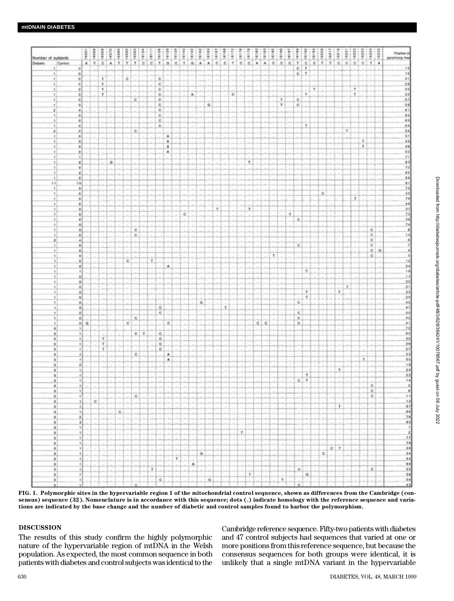

Downloaded from http://diabetesjournals.org/diabetes/article-pdf/48/3/628/364241/10078567.pdf by guest on 06 July 2022

Downloaded from http://diabetesjournals.org/diabetes/article-pdf/48/3/628/364241/10078567.pdf by guest on 06 July 2022

**FIG. 1. Polymorphic sites in the hypervariable region 1 of the mitochondrial control sequence, shown as differences from the Cambridge (consensus) sequence (32). Nomenclature is in accordance with this sequence; dots (.) indicate homology with the reference sequence and variations are indicated by the base change and the number of diabetic and control samples found to harbor the polymorphism.**

# **DISCUSSION**

The results of this study confirm the highly polymorphic nature of the hypervariable region of mtDNA in the Welsh population. As expected, the most common sequence in both patients with diabetes and control subjects was identical to the

Cambridge reference sequence. Fifty-two patients with diabetes and 47 control subjects had sequences that varied at one or more positions from this reference sequence, but because the consensus sequences for both groups were identical, it is unlikely that a single mtDNA variant in the hypervariable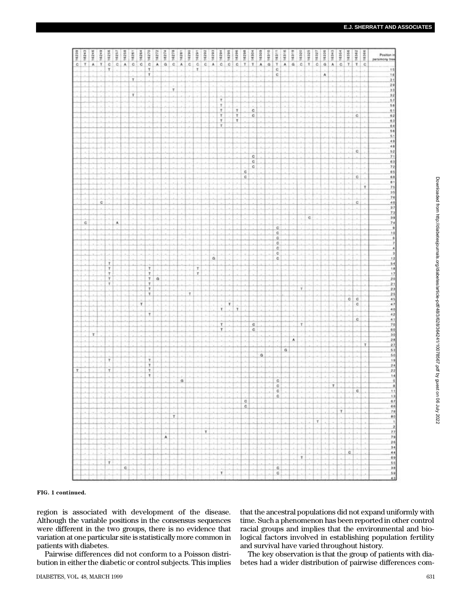

# **FIG. 1 continued.**

region is associated with development of the disease. Although the variable positions in the consensus sequences were different in the two groups, there is no evidence that variation at one particular site is statistically more common in patients with diabetes.

Pairwise differences did not conform to a Poisson distribution in either the diabetic or control subjects. This implies

that the ancestral populations did not expand uniformly with time. Such a phenomenon has been reported in other control racial groups and implies that the environmental and biological factors involved in establishing population fertility and survival have varied throughout history.

The key observation is that the group of patients with diabetes had a wider distribution of pairwise differences com-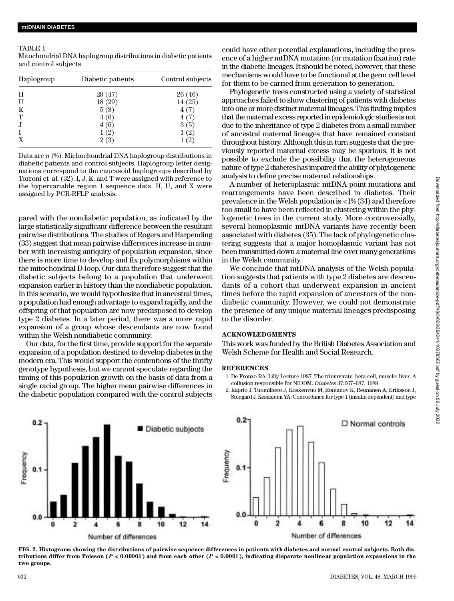TABLE 1 Mitochondrial DNA haplogroup distributions in diabetic patients and control subjects

| Haplogroup | Diabetic patients | Control subjects |
|------------|-------------------|------------------|
| H          | 29 (47)           | 26 (46)          |
| U          | 18(29)            | 14(25)           |
| Κ          | 5(8)              | 4(7)             |
| т          | 4(6)              | 4(7)             |
| J          | 4(6)              | 3(5)             |
|            | 1(2)              | 1(2)             |
|            | 2(3)              | (2)              |

Data are *n* (%). Michochondrial DNA haplogroup distributions in diabetic patients and control subjects. Haplogroup letter designations correspond to the caucasoid haplogroups described by Torroni et al. (32). I, J, K, and T were assigned with reference to the hypervariable region 1 sequence data. H, U, and X were assigned by PCR-RFLP analysis.

pared with the nondiabetic population, as indicated by the large statistically significant difference between the resultant pairwise distributions. The studies of Rogers and Harpending (33) suggest that mean pairwise differences increase in number with increasing antiquity of population expansion, since there is more time to develop and fix polymorphisms within the mitochondrial D-loop. Our data therefore suggest that the diabetic subjects belong to a population that underwent expansion earlier in history than the nondiabetic population. In this scenario, we would hypothesize that in ancestral times, a population had enough advantage to expand rapidly, and the offspring of that population are now predisposed to develop type 2 diabetes. In a later period, there was a more rapid expansion of a group whose descendants are now found within the Welsh nondiabetic community.

Our data, for the first time, provide support for the separate expansion of a population destined to develop diabetes in the modern era. This would support the contentions of the thrifty genotype hypothesis, but we cannot speculate regarding the timing of this population growth on the basis of data from a single racial group. The higher mean pairwise differences in the diabetic population compared with the control subjects

could have other potential explanations, including the presence of a higher mtDNA mutation (or mutation fixation) rate in the diabetic lineages. It should be noted, however, that these mechanisms would have to be functional at the germ cell level for them to be carried from generation to generation.

Phylogenetic trees constructed using a variety of statistical approaches failed to show clustering of patients with diabetes into one or more distinct maternal lineages. This finding implies that the maternal excess reported in epidemiologic studies is not due to the inheritance of type 2 diabetes from a small number of ancestral maternal lineages that have remained constant throughout history. Although this in turn suggests that the previously reported maternal excess may be spurious, it is not possible to exclude the possibility that the heterogeneous nature of type 2 diabetes has impaired the ability of phylogenetic analysis to define precise maternal relationships.

A number of heteroplasmic mtDNA point mutations and rearrangements have been described in diabetes. Their prevalence in the Welsh population is <1% (34) and therefore too small to have been reflected in clustering within the phylogenetic trees in the current study. More controversially, several homoplasmic mtDNA variants have recently been associated with diabetes (35). The lack of phylogenetic clustering suggests that a major homoplasmic variant has not been transmitted down a maternal line over many generations in the Welsh community.

We conclude that mtDNA analysis of the Welsh population suggests that patients with type 2 diabetes are descendants of a cohort that underwent expansion in ancient times before the rapid expansion of ancestors of the nondiabetic community. However, we could not demonstrate the presence of any unique maternal lineages predisposing to the disorder.

# **ACKNOWLEDGMENTS**

This work was funded by the British Diabetes Association and Welsh Scheme for Health and Social Research.

# **REFERENCES**

- 1 . De Fronzo RA: Lilly Lecture 1987. The triumvirate: beta-cell, muscle, liver. A collusion responsible for NIDDM. *Diabetes* 37:667-687, 1988
- 2 . Kaprio J, Tuomilheto J, Koskenvuo M, Romanov K, Reunanen A, Eriksson J, Stengard J, Kesaniemi YA: Concordance for type 1 (insulin dependent) and type



**FIG. 2. Histograms showing the distributions of pairwise sequence differences in patients with diabetes and normal control subjects. Both distributions differ from Poisson (***P* **< 0.00001) and from each other (***P* **< 0.0001), indicating disparate nonlinear population expansions in the two groups.**

12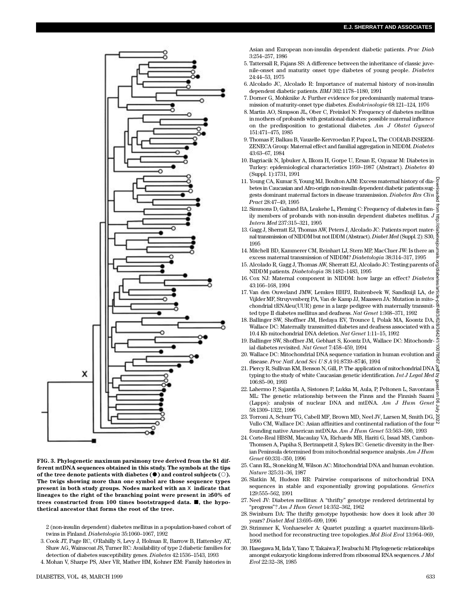

**FIG. 3. Phylogenetic maximum parsimony tree derived from the 81 different mtDNA sequences obtained in this study. The symbols at the tips of the tree denote patients with diabetes**  $(\bullet)$  **and control subjects**  $(\circ)$ **. The twigs showing more than one symbol are those sequence types present in both study groups. Nodes marked with an** x **indicate that lineages to the right of the branching point were present in 50% of** trees constructed from 100 times bootstrapped data.  $\blacksquare$ , the hypo**thetical ancestor that forms the root of the tree.**

2 (non-insulin dependent) diabetes mellitus in a population-based cohort of twins in Finland. *Diabetologia* 35:1060-1067, 1992

- 3 . Cook JT, Page RC, O'Rahilly S, Levy J, Holman R, Barrow B, Hattersley AT, Shaw AG, Wainscoat JS, Turner RC: Availability of type 2 diabetic families for detection of diabetes susceptibility genes. *Diabetes* 42:1536-1543, 1993
- 4 . Mohan V, Sharpe PS, Aber VR, Mather HM, Kohner EM: Family histories in

Asian and European non-insulin dependent diabetic patients. *Prac Diab* 3:254–257, 1986

- 5 . Tattersall R, Fajans SS: A difference between the inheritance of classic juvenile-onset and maturity onset type diabetes of young people. *Diabetes* 24:44–53, 1975
- 6 . Alcolado JC, Alcolado R: Importance of maternal history of non-insulin dependent diabetic patients. *BMJ* 302:1178-1180, 1991
- 7 . Dorner G, Mohknike A: Further evidence for predominantly maternal transmission of maturity-onset type diabetes. *Endokrinologie* 68:121–124, 1976
- 8 . Martin AO, Simpson JL, Ober C, Freinkel N: Frequency of diabetes mellitus in mothers of probands with gestational diabetes: possible maternal influence on the predisposition to gestational diabetes. *Am J Obstet Gynecol* 151:471–475, 1985
- 9 . Thomas F, Balkau B, Vauzelle-Kervroedan F, Papoz L, The CODIAB-INSERM-ZENECA Group: Maternal effect and familial aggregation in NIDDM. *Diabetes* 43:63–67, 1984
- 1 0 . Bagriacik N, Ipbuker A, Ilkora H, Gorpe U, Ersan E, Ozyazar M: Diabetes in Turkey: epidemiological characteristics 1959-1987 (Abstract). *Diabetes* 40 (Suppl. 1):1731, 1991
- 11. Young CA, Kumar S, Young MJ, Boulton AJM: Excess maternal history of dia-  $\frac{5}{9}$ betes in Caucasian and Afro-origin non-insulin dependent diabetic patients suggests dominant maternal factors in disease transmission. *Diabetes Res Clin P r a c t* 28:47–49, 1995 Downloaded from http://diabetesjournals.org/diabetes/article-pdf/48/3/628/364241/10078567.pdf by guest on 06 July 2022
- 12. Simmons D, Galtand BA, Leakehe L, Fleming C: Frequency of diabetes in fam- $\frac{3}{5}$ ily members of probands with non-insulin dependent diabetes mellitus.  $J_{\frac{3}{2}}$ *Intern Med* 237:315–321, 1995
- 13. Gagg J, Sherratt EJ, Thomas AW, Peters J, Alcolado JC: Patients report maternal transmission of NIDDM but not IDDM (Abstract). *Diabet Med* (Suppl. 2): S30, 1995
- 14. Mitchell BD, Kammerer CM, Reinhart LJ, Stern MP, MacCluer JW: Is there an  $\frac{5}{5}$ excess maternal transmission of NIDDM? *Diabetologia* 38:314-317, 1995
- 15. Alcolado R, Gagg J, Thomas AW, Sherratt EJ, Alcolado JC: Testing parents of  $\frac{8}{9}$ NIDDM patients. *Diabetologia* 38:1482–1483, 1995
- 16. Cox NJ: Maternal component in NIDDM: how large an effect? *Diabetes*  $\frac{3}{2}$ 43:166–168, 1994
- 1 7 . Van den Ouweland JMW, Lemkes HHPJ, Ruitenbeek W, Sandkuijl LA, de Vijlder MF, Struyvenberg PA, Van de Kamp JJ, Maassen JA: Mutation in mitochondrial tRNAleu(UUR) gene in a large pedigree with maternally transmitted type II diabetes mellitus and deafness. *Nat Genet* 1:368–371, 1992
- 18. Ballinger SW, Shoffner JM, Hedaya EV, Trounce I, Polak MA, Koontz DA, Wallace DC: Maternally transmitted diabetes and deafness associated with a 10.4 Kb mitochondrial DNA deletion. *Nat Genet* 1:11–15, 1992
- 19. Ballinger SW, Shoffner JM, Gebhart S, Koontz DA, Wallace DC: Mitochondrial diabetes revisited. *Nat Genet* 7:458–459, 1994
- 20. Wallace DC: Mitochondrial DNA sequence variation in human evolution and  $\frac{3}{2}$ disease. *Proc Natl Acad Sci U S A* 91:8739–8746, 1994
- 21. Piercy R, Sullivan KM, Benson N, Gill, P. The application of mitochondrial DNA  $\frac{5}{9}$ typing to the study of white Caucasian genetic identification. *Int J Legal Med* 106:85–90, 1993
- 22. Lahermo P, Sajantila A, Sistonen P, Lukka M, Aula, P, Peltonen L, Savontaus & ML: The genetic relationship between the Finns and the Finnish Saami  $\frac{9}{2}$ (Lapps): analysis of nuclear DNA and mtDNA. *Am J Hum Genet* 58:1309–1322, 1996
- 23. Torroni A, Schurr TG, Cabell MF, Brown MD, Neel JV, Larsen M, Smith DG, Vullo CM, Wallace DC: Asian affinities and continental radiation of the four  $\stackrel{\sim}{\sim}$ founding native American mtDNAs. *Am J Hum Genet* 53:563–590, 1993
- 24. Corte-Real HBSM, Macaulay VA, Richards MB, Hariti G, Issad MS, Cambon-Thomsen A, Papiha S, Bertranpetit J, Sykes BC: Genetic diversity in the Iberian Peninsula determined from mitochondrial sequence analysis. *Am J Hum G e n e t* 60:331–350, 1996
- 2 5 . Cann RL, Stoneking M, Wilson AC: Mitochondrial DNA and human evolution. *N a t u r e* 325:31–36, 1987
- 2 6 . Slatkin M, Hudson RR: Pairwise comparisons of mitochondrial DNA sequences in stable and exponentially growing populations. Genetics 129:555–562, 1991
- 27. Neel JV: Diabetes mellitus: A "thrifty" genotype rendered detrimental by "progress"? *Am J Hum Genet* 14:352–362, 1962
- 28. Swinburn DA: The thrifty genotype hypothesis: how does it look after 30 years? *Diabet Med* 13:695–699, 1996
- 29. Strimmer K, Vonhaeseler A: Quartet puzzling: a quartet maximum-likelihood method for reconstructing tree topologies.*Mol Biol Evol* 13:964–969, 1996
- 3 0 . Hasegawa M, Iida Y, Yano T, Takaiwa F, Iwabuchi M: Phylogenetic relationships amongst eukaryotic kingdoms inferred from ribosomal RNA sequences. *J Mol E v o l* 22:32–38, 1985